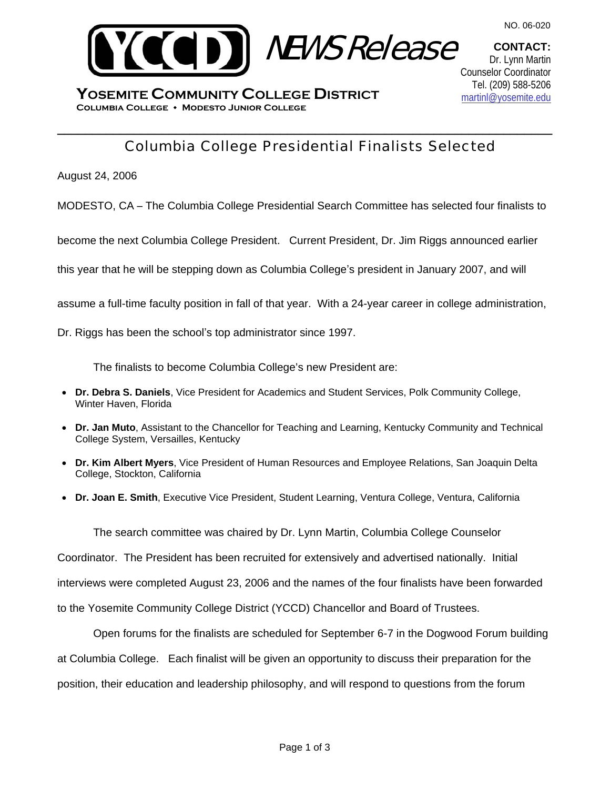



**CONTACT:**  Dr. Lynn Martin Counselor Coordinator Tel. (209) 588-5206 martinl@yosemite.edu

**YOSEMITE COMMUNITY COLLEGE DISTRICT Columbia College Modesto Junior College** 

# \_\_\_\_\_\_\_\_\_\_\_\_\_\_\_\_\_\_\_\_\_\_\_\_\_\_\_\_\_\_\_\_\_\_\_\_\_\_\_\_\_\_\_\_\_\_\_\_\_\_\_\_\_\_\_\_\_\_\_\_\_\_\_\_\_\_\_\_\_\_\_ Columbia College Presidential Finalists Selected

August 24, 2006

MODESTO, CA – The Columbia College Presidential Search Committee has selected four finalists to

become the next Columbia College President. Current President, Dr. Jim Riggs announced earlier

this year that he will be stepping down as Columbia College's president in January 2007, and will

assume a full-time faculty position in fall of that year. With a 24-year career in college administration,

Dr. Riggs has been the school's top administrator since 1997.

The finalists to become Columbia College's new President are:

- **Dr. Debra S. Daniels**, Vice President for Academics and Student Services, Polk Community College, Winter Haven, Florida
- **Dr. Jan Muto**, Assistant to the Chancellor for Teaching and Learning, Kentucky Community and Technical College System, Versailles, Kentucky
- **Dr. Kim Albert Myers**, Vice President of Human Resources and Employee Relations, San Joaquin Delta College, Stockton, California
- **Dr. Joan E. Smith**, Executive Vice President, Student Learning, Ventura College, Ventura, California

The search committee was chaired by Dr. Lynn Martin, Columbia College Counselor

Coordinator. The President has been recruited for extensively and advertised nationally. Initial

interviews were completed August 23, 2006 and the names of the four finalists have been forwarded

to the Yosemite Community College District (YCCD) Chancellor and Board of Trustees.

Open forums for the finalists are scheduled for September 6-7 in the Dogwood Forum building

at Columbia College. Each finalist will be given an opportunity to discuss their preparation for the

position, their education and leadership philosophy, and will respond to questions from the forum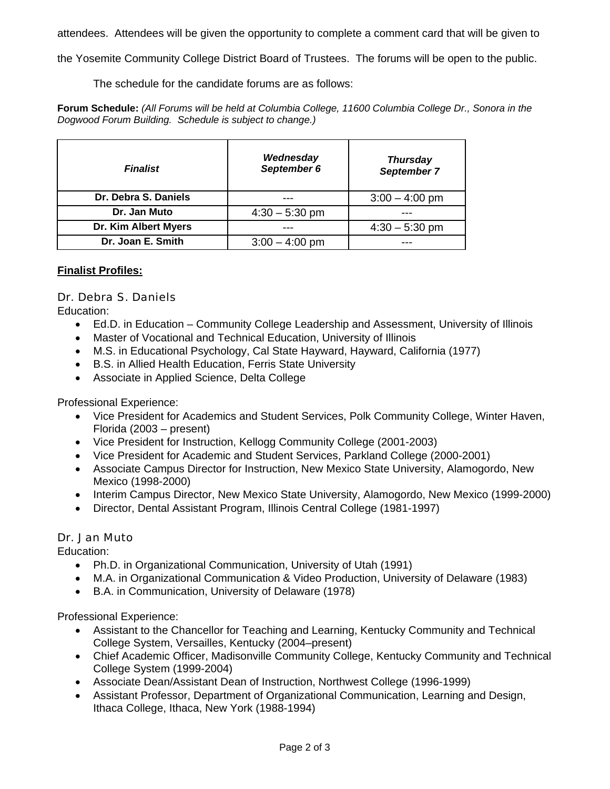attendees. Attendees will be given the opportunity to complete a comment card that will be given to

the Yosemite Community College District Board of Trustees. The forums will be open to the public.

The schedule for the candidate forums are as follows:

**Forum Schedule:** *(All Forums will be held at Columbia College, 11600 Columbia College Dr., Sonora in the Dogwood Forum Building. Schedule is subject to change.)*

| <b>Finalist</b>      | Wednesday<br>September 6 | <b>Thursday</b><br>September 7 |
|----------------------|--------------------------|--------------------------------|
| Dr. Debra S. Daniels |                          | $3:00 - 4:00$ pm               |
| Dr. Jan Muto         | $4:30 - 5:30$ pm         |                                |
| Dr. Kim Albert Myers |                          | $4:30 - 5:30$ pm               |
| Dr. Joan E. Smith    | $3:00 - 4:00$ pm         |                                |

### **Finalist Profiles:**

#### Dr. Debra S. Daniels

Education:

- Ed.D. in Education Community College Leadership and Assessment, University of Illinois
- Master of Vocational and Technical Education, University of Illinois
- M.S. in Educational Psychology, Cal State Hayward, Hayward, California (1977)
- B.S. in Allied Health Education, Ferris State University
- Associate in Applied Science, Delta College

### Professional Experience:

- Vice President for Academics and Student Services, Polk Community College, Winter Haven, Florida (2003 – present)
- Vice President for Instruction, Kellogg Community College (2001-2003)
- Vice President for Academic and Student Services, Parkland College (2000-2001)
- Associate Campus Director for Instruction, New Mexico State University, Alamogordo, New Mexico (1998-2000)
- Interim Campus Director, New Mexico State University, Alamogordo, New Mexico (1999-2000)
- Director, Dental Assistant Program, Illinois Central College (1981-1997)

### Dr. Jan Muto

Education:

- Ph.D. in Organizational Communication, University of Utah (1991)
- M.A. in Organizational Communication & Video Production, University of Delaware (1983)
- B.A. in Communication, University of Delaware (1978)

Professional Experience:

- Assistant to the Chancellor for Teaching and Learning, Kentucky Community and Technical College System, Versailles, Kentucky (2004–present)
- Chief Academic Officer, Madisonville Community College, Kentucky Community and Technical College System (1999-2004)
- Associate Dean/Assistant Dean of Instruction, Northwest College (1996-1999)
- Assistant Professor, Department of Organizational Communication, Learning and Design, Ithaca College, Ithaca, New York (1988-1994)